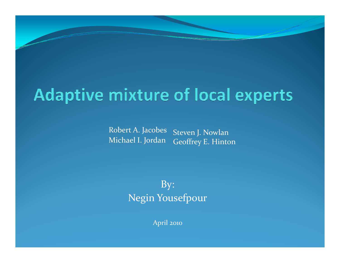#### **Adaptive mixture of local experts**

Robert A. Jacobes Michael I. Jordan Steven J. Nowlan Geoffrey E. Hinton

> By: Negin Yousefpour

> > April <sup>2010</sup>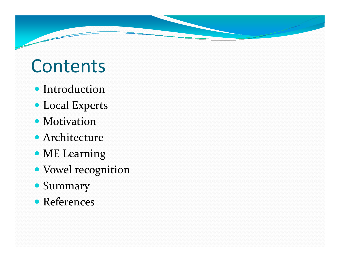## Contents

- Introduction
- Local Experts
- Motivation
- Architecture
- ME Learning
- Vowel recognition
- Summary
- References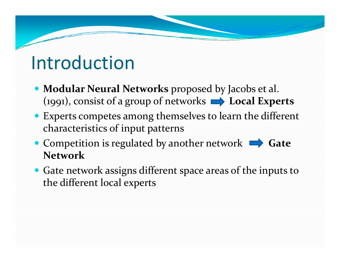### Introduction

- Modular Neural Networks proposed by Jacobs et al. (1991), consist of a group of networks  $\rightarrow$  Local Experts
- Experts competes among themselves to learn the different characteristics of input patterns
- Competition is regulated by another network  $\rightarrow$  Gate **Network**
- Gate network assigns different space areas of the inputs to the different local experts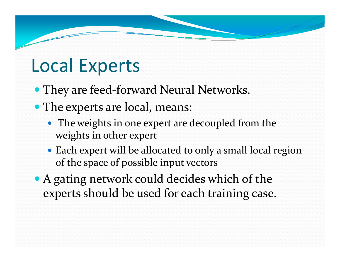### Local Experts

- They are feed-forward Neural Networks.
- The experts are local, means:
	- The weights in one expert are decoupled from the weights in other exper<sup>t</sup>
	- Each expert will be allocated to only a small local region of the space of possible input vectors
- A gating network could decides which of the experts should be used for each training case.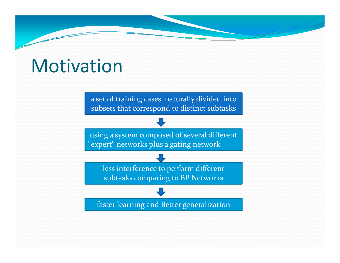### **Motivation**

a set of training cases naturally divided into subsets that correspond to distinct subtasks

using a system composed of several different "expert" networks plus a gating network

> less interference to perform different subtasks comparing to BP Networks

faster learning and Better generalization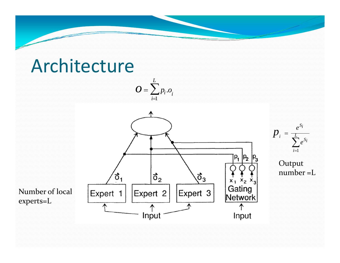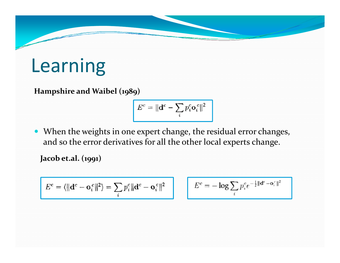## Learning

**Hampshire and Waibel (1989)**

$$
E^c = \|\mathbf{d}^c - \sum_i p_i^c \mathbf{o}_i^c\|^2
$$

• When the weights in one expert change, the residual error changes, and so the error derivatives for all the other local experts change.

**Jacob et.al. (1991)**

$$
E^c = \langle ||\mathbf{d}^c - \mathbf{o}_i^c||^2 \rangle = \sum_i p_i^c ||\mathbf{d}^c - \mathbf{o}_i^c||^2
$$

$$
E^c=-\log\sum_i p_i^c e^{-\frac{1}{2}\Vert \mathbf{d}^c-\mathbf{o}^c_i\Vert^2}
$$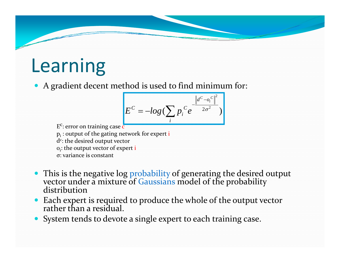## Learning

• A gradient decent method is used to find minimum for:

$$
E^{C} = -log(\sum_{i} p_i^{C} e^{-\frac{\left\|d^{C} - o_i^{C}\right\|^2}{2\sigma^2}})
$$

E<sup>c</sup>: error on training case <mark>c</mark>  $\bm{{\mathsf{p}}}_\text{i}$  : output of the gating network for expert  $\text{i}$ d $\mathrm{c}\mathrm{:}% \left\vert \mathbf{d}\right\vert$  the desired output vector o<sub>i</sub>: the output vector of expert i σ: variance is constant

- $\bullet$ This is the negative log probability of generating the desired output vector under a mixture of Gaussians model of the probability<br>distribution
- $\bullet$ • Each expert is required to produce the whole of the output vector rather than a residual. than <sup>a</sup> residual.
- $\bullet$ System tends to devote <sup>a</sup> single exper<sup>t</sup> to each training case.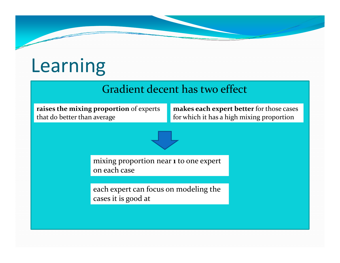# Learning

#### Gradient decent has two effect

**raises the mixing proportion** of experts that do better than

**makes each exper<sup>t</sup> better** for those cases for which it has a high mixing proportion



mixing proportion near **<sup>1</sup>** to one exper<sup>t</sup> on each case

each exper<sup>t</sup> can focus on modeling the cases it is good at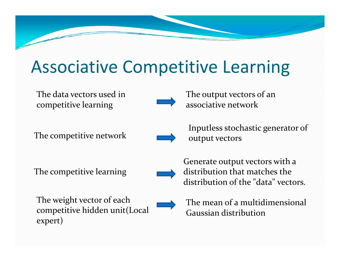### Associative Competitive Learning

The data vectors used incompetitive learning



The output vectors of an associative network

The competitive network



Inputless stochastic generator of<br>output vectors

The competitive learning



Generate output vectors with <sup>a</sup> distribution that matches the distribution of the "data" vectors.

The weight vector of each competitive hidden unit(Local expert)



The mean of <sup>a</sup> multidimensional Gaussian distribution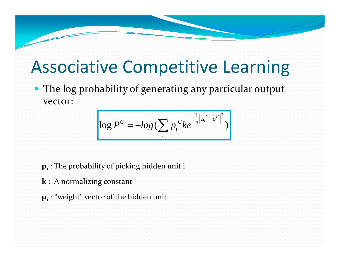#### Associative Competitive Learning

• The log probability of generating any particular output vector:

$$
\log P^{C} = -\log \left( \sum_{i} p_{i}^{C} k e^{-\frac{1}{2} || \mu_{i}^{C} - o^{C} ||^{2}} \right)
$$

**pi** : The probability of <sup>p</sup>icking hidden unit <sup>i</sup>

- **k** : A normalizing constant
- **μi** : "weight" vector of the hidden unit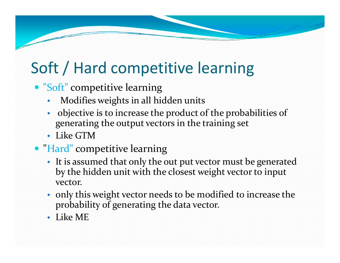### Soft / Hard competitive learning

- "Soft" competitive learning
	- •Modifies weights in all hidden units
	- • objective is to increase the product of the probabilities of generating the output vectors in the training set
	- Like GTM
- "Hard" competitive learning
	- It is assumed that only the out pu<sup>t</sup> vector must be generated by the hidden unit with the closest weight vector to input vector.
	- only this weight vector needs to be modified to increase the probability of generating the data vector.
	- Like ME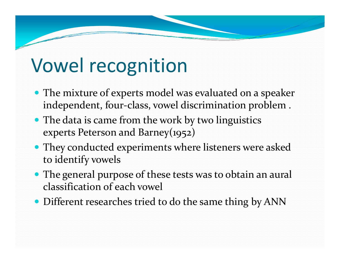- The mixture of experts model was evaluated on a speaker independent, four‐class, vowel discrimination problem .
- The data is came from the work by two linguistics experts Peterson and Barney(1952)
- They conducted experiments where listeners were asked to identify vowels
- The general purpose of these tests was to obtain an aural classification of each vowel
- Different researches tried to do the same thing by ANN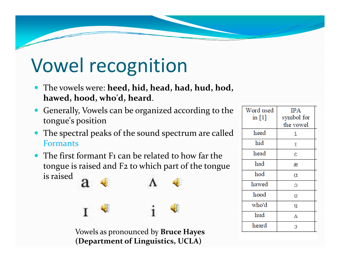- y The vowels were: **heed, hid, head, had, hud, hod, hawed, hood, who'd, heard**.
- $\bullet$  Generally, Vowels can be organized according to the tongue's position
- $\bullet$  The spectral peaks of the sound spectrum are called Formants
- $\bullet$  The first formant F1 can be related to how far the tongue is raised and F2 to which par<sup>t</sup> of the tongue is raised

Vowels as pronounced by **Bruce Hayes (Department of Linguistics, UCLA)**

| Word used | <b>IPA</b>  |  |  |
|-----------|-------------|--|--|
| in $[1]$  | symbol for  |  |  |
|           | the vowel   |  |  |
| heed      | i           |  |  |
| hid       | I<br>ε<br>æ |  |  |
| head      |             |  |  |
| had       |             |  |  |
| hod       | α           |  |  |
| hawed     | Э           |  |  |
| hood      | U           |  |  |
| who'd     | u           |  |  |
| hud       | Λ           |  |  |
| heard     | 3           |  |  |
|           |             |  |  |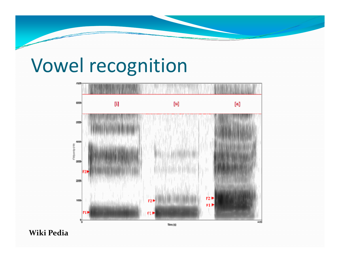

Wiki Pedia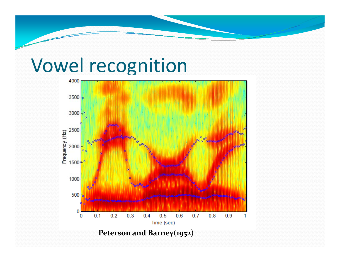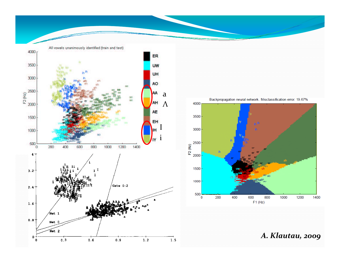



A. Klautau, 2009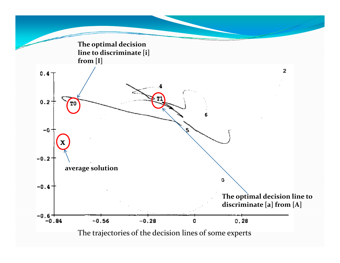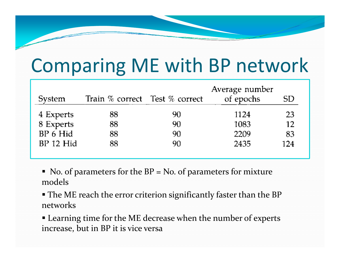# Comparing ME with BP network

| System      | Train % correct Test % correct |    | Average number<br>of epochs | SD  |
|-------------|--------------------------------|----|-----------------------------|-----|
| 4 Experts   | 88                             | 90 | 1124                        | 23  |
| 8 Experts   | 88                             | 90 | 1083                        | 12  |
| BP 6 Hid    | 88                             | 90 | 2209                        | 83  |
| $BP$ 12 Hid | 88                             | 90 | 2435                        | 124 |

 $\blacksquare$  No. of parameters for the BP = No. of parameters for mixture models

 The ME reach the error criterion significantly faster than the BP networks

 Learning time for the ME decrease when the number of experts increase, but in BP it is vice versa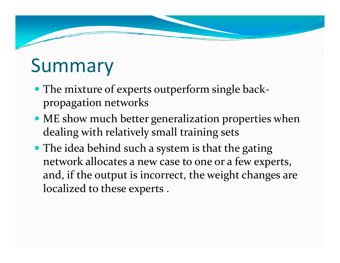# Summary

- The mixture of experts outperform single backpropagation networks
- ME show much better generalization properties when dealing with relatively small training sets
- The idea behind such a system is that the gating network allocates <sup>a</sup> new case to one or <sup>a</sup> few experts, and, if the output is incorrect, the weight changes are localized to these experts .